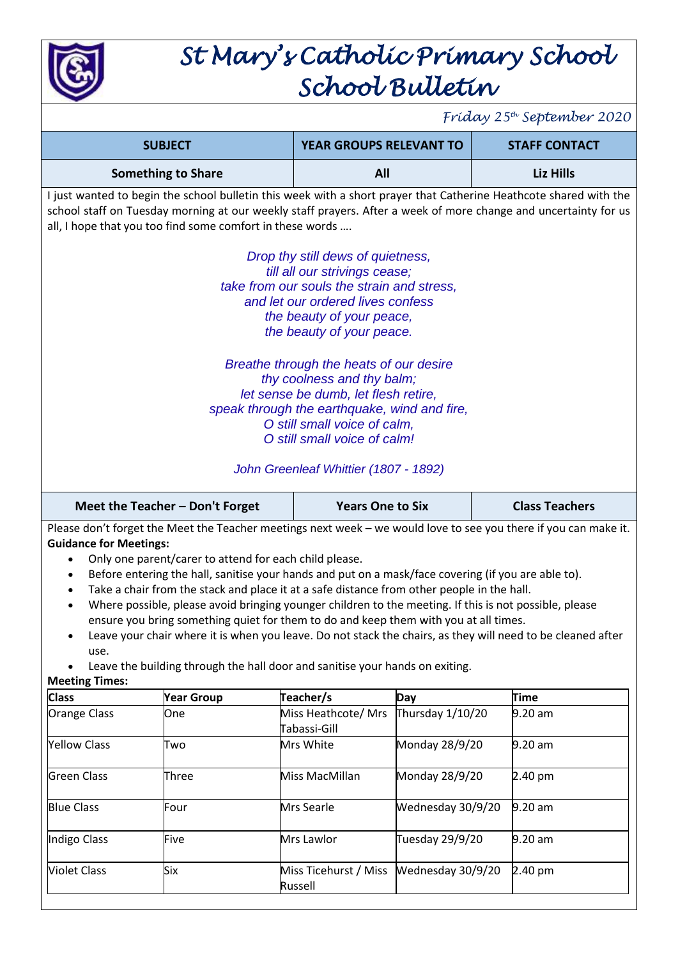

## *St Mary's Catholic Primary School School Bulletin*

*Friday 25th September 2020*

|                                                                                                                                                                                                                 | <b>SUBJECT</b>                                                                                         | <b>YEAR GROUPS RELEVANT TO</b>                                                                                                                                                                                                                                         |                           | <b>STAFF CONTACT</b>                                                                                                                                                                                                                 |  |  |  |  |  |  |
|-----------------------------------------------------------------------------------------------------------------------------------------------------------------------------------------------------------------|--------------------------------------------------------------------------------------------------------|------------------------------------------------------------------------------------------------------------------------------------------------------------------------------------------------------------------------------------------------------------------------|---------------------------|--------------------------------------------------------------------------------------------------------------------------------------------------------------------------------------------------------------------------------------|--|--|--|--|--|--|
|                                                                                                                                                                                                                 | <b>Something to Share</b>                                                                              | All                                                                                                                                                                                                                                                                    |                           | Liz Hills                                                                                                                                                                                                                            |  |  |  |  |  |  |
|                                                                                                                                                                                                                 | all, I hope that you too find some comfort in these words                                              |                                                                                                                                                                                                                                                                        |                           | I just wanted to begin the school bulletin this week with a short prayer that Catherine Heathcote shared with the<br>school staff on Tuesday morning at our weekly staff prayers. After a week of more change and uncertainty for us |  |  |  |  |  |  |
| Drop thy still dews of quietness,<br>till all our strivings cease;<br>take from our souls the strain and stress,<br>and let our ordered lives confess<br>the beauty of your peace,<br>the beauty of your peace. |                                                                                                        |                                                                                                                                                                                                                                                                        |                           |                                                                                                                                                                                                                                      |  |  |  |  |  |  |
|                                                                                                                                                                                                                 |                                                                                                        | Breathe through the heats of our desire<br>thy coolness and thy balm;<br>let sense be dumb, let flesh retire,<br>speak through the earthquake, wind and fire,<br>O still small voice of calm,<br>O still small voice of calm!<br>John Greenleaf Whittier (1807 - 1892) |                           |                                                                                                                                                                                                                                      |  |  |  |  |  |  |
|                                                                                                                                                                                                                 | Meet the Teacher - Don't Forget                                                                        | <b>Years One to Six</b>                                                                                                                                                                                                                                                |                           | <b>Class Teachers</b>                                                                                                                                                                                                                |  |  |  |  |  |  |
| Please don't forget the Meet the Teacher meetings next week - we would love to see you there if you can make it.                                                                                                |                                                                                                        |                                                                                                                                                                                                                                                                        |                           |                                                                                                                                                                                                                                      |  |  |  |  |  |  |
|                                                                                                                                                                                                                 |                                                                                                        |                                                                                                                                                                                                                                                                        |                           |                                                                                                                                                                                                                                      |  |  |  |  |  |  |
| <b>Guidance for Meetings:</b>                                                                                                                                                                                   |                                                                                                        |                                                                                                                                                                                                                                                                        |                           |                                                                                                                                                                                                                                      |  |  |  |  |  |  |
|                                                                                                                                                                                                                 | Only one parent/carer to attend for each child please.                                                 |                                                                                                                                                                                                                                                                        |                           |                                                                                                                                                                                                                                      |  |  |  |  |  |  |
|                                                                                                                                                                                                                 | Before entering the hall, sanitise your hands and put on a mask/face covering (if you are able to).    |                                                                                                                                                                                                                                                                        |                           |                                                                                                                                                                                                                                      |  |  |  |  |  |  |
|                                                                                                                                                                                                                 | Take a chair from the stack and place it at a safe distance from other people in the hall.             |                                                                                                                                                                                                                                                                        |                           |                                                                                                                                                                                                                                      |  |  |  |  |  |  |
|                                                                                                                                                                                                                 | Where possible, please avoid bringing younger children to the meeting. If this is not possible, please |                                                                                                                                                                                                                                                                        |                           |                                                                                                                                                                                                                                      |  |  |  |  |  |  |
|                                                                                                                                                                                                                 | ensure you bring something quiet for them to do and keep them with you at all times.                   |                                                                                                                                                                                                                                                                        |                           |                                                                                                                                                                                                                                      |  |  |  |  |  |  |
|                                                                                                                                                                                                                 |                                                                                                        |                                                                                                                                                                                                                                                                        |                           | Leave your chair where it is when you leave. Do not stack the chairs, as they will need to be cleaned after                                                                                                                          |  |  |  |  |  |  |
| use.                                                                                                                                                                                                            | Leave the building through the hall door and sanitise your hands on exiting.                           |                                                                                                                                                                                                                                                                        |                           |                                                                                                                                                                                                                                      |  |  |  |  |  |  |
| <b>Meeting Times:</b>                                                                                                                                                                                           |                                                                                                        |                                                                                                                                                                                                                                                                        |                           |                                                                                                                                                                                                                                      |  |  |  |  |  |  |
| <b>Class</b>                                                                                                                                                                                                    | <b>Year Group</b>                                                                                      | Teacher/s                                                                                                                                                                                                                                                              | Day                       | <b>Time</b>                                                                                                                                                                                                                          |  |  |  |  |  |  |
| Orange Class                                                                                                                                                                                                    | One                                                                                                    | Miss Heathcote/ Mrs                                                                                                                                                                                                                                                    | Thursday 1/10/20          | $9.20$ am                                                                                                                                                                                                                            |  |  |  |  |  |  |
|                                                                                                                                                                                                                 |                                                                                                        | Tabassi-Gill                                                                                                                                                                                                                                                           |                           |                                                                                                                                                                                                                                      |  |  |  |  |  |  |
| <b>Yellow Class</b>                                                                                                                                                                                             | Two                                                                                                    | Mrs White                                                                                                                                                                                                                                                              | Monday 28/9/20            | $9.20$ am                                                                                                                                                                                                                            |  |  |  |  |  |  |
|                                                                                                                                                                                                                 |                                                                                                        |                                                                                                                                                                                                                                                                        |                           |                                                                                                                                                                                                                                      |  |  |  |  |  |  |
| <b>Green Class</b>                                                                                                                                                                                              | Three                                                                                                  | Miss MacMillan                                                                                                                                                                                                                                                         | Monday 28/9/20<br>2.40 pm |                                                                                                                                                                                                                                      |  |  |  |  |  |  |
|                                                                                                                                                                                                                 |                                                                                                        |                                                                                                                                                                                                                                                                        |                           |                                                                                                                                                                                                                                      |  |  |  |  |  |  |
| <b>Blue Class</b>                                                                                                                                                                                               | Four                                                                                                   | Mrs Searle                                                                                                                                                                                                                                                             | Wednesday 30/9/20         | $9.20$ am                                                                                                                                                                                                                            |  |  |  |  |  |  |
|                                                                                                                                                                                                                 |                                                                                                        |                                                                                                                                                                                                                                                                        |                           |                                                                                                                                                                                                                                      |  |  |  |  |  |  |
| Indigo Class                                                                                                                                                                                                    | Five                                                                                                   | Mrs Lawlor                                                                                                                                                                                                                                                             | Tuesday 29/9/20           | $9.20$ am                                                                                                                                                                                                                            |  |  |  |  |  |  |
|                                                                                                                                                                                                                 |                                                                                                        |                                                                                                                                                                                                                                                                        |                           |                                                                                                                                                                                                                                      |  |  |  |  |  |  |

Russell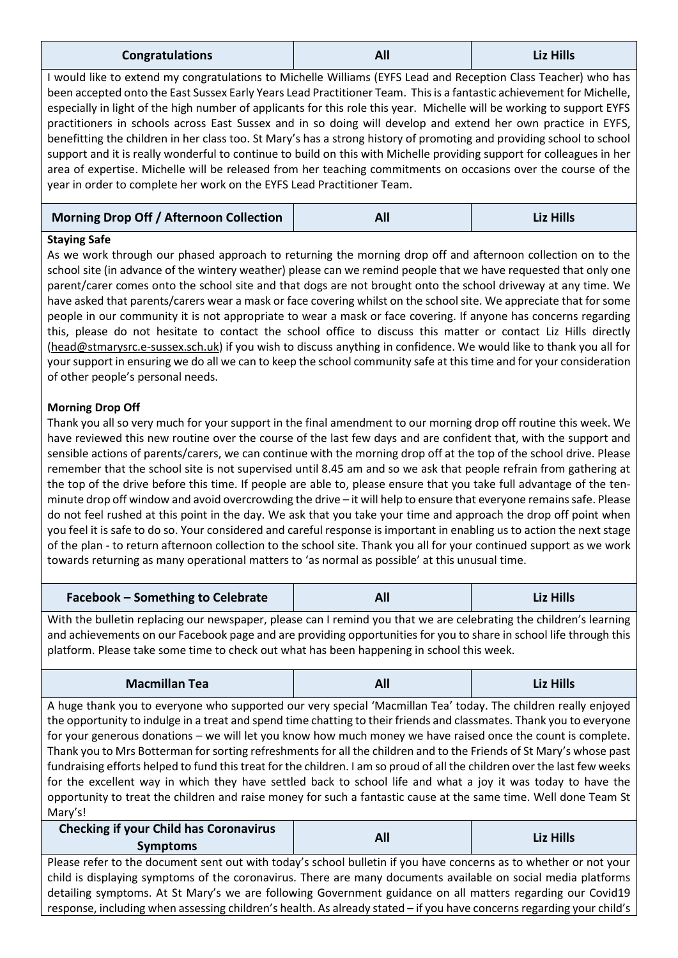| <b>Congratulations</b> | All | <b>Liz Hills</b> |
|------------------------|-----|------------------|
|------------------------|-----|------------------|

I would like to extend my congratulations to Michelle Williams (EYFS Lead and Reception Class Teacher) who has been accepted onto the East Sussex Early Years Lead Practitioner Team. This is a fantastic achievement for Michelle, especially in light of the high number of applicants for this role this year. Michelle will be working to support EYFS practitioners in schools across East Sussex and in so doing will develop and extend her own practice in EYFS, benefitting the children in her class too. St Mary's has a strong history of promoting and providing school to school support and it is really wonderful to continue to build on this with Michelle providing support for colleagues in her area of expertise. Michelle will be released from her teaching commitments on occasions over the course of the year in order to complete her work on the EYFS Lead Practitioner Team.

#### **Morning Drop Off / Afternoon Collection All Liz Hills**

#### **Staying Safe**

As we work through our phased approach to returning the morning drop off and afternoon collection on to the school site (in advance of the wintery weather) please can we remind people that we have requested that only one parent/carer comes onto the school site and that dogs are not brought onto the school driveway at any time. We have asked that parents/carers wear a mask or face covering whilst on the school site. We appreciate that for some people in our community it is not appropriate to wear a mask or face covering. If anyone has concerns regarding this, please do not hesitate to contact the school office to discuss this matter or contact Liz Hills directly [\(head@stmarysrc.e-sussex.sch.uk\)](mailto:head@stmarysrc.e-sussex.sch.uk) if you wish to discuss anything in confidence. We would like to thank you all for your support in ensuring we do all we can to keep the school community safe at this time and for your consideration of other people's personal needs.

#### **Morning Drop Off**

Thank you all so very much for your support in the final amendment to our morning drop off routine this week. We have reviewed this new routine over the course of the last few days and are confident that, with the support and sensible actions of parents/carers, we can continue with the morning drop off at the top of the school drive. Please remember that the school site is not supervised until 8.45 am and so we ask that people refrain from gathering at the top of the drive before this time. If people are able to, please ensure that you take full advantage of the tenminute drop off window and avoid overcrowding the drive – it will help to ensure that everyone remains safe. Please do not feel rushed at this point in the day. We ask that you take your time and approach the drop off point when you feel it is safe to do so. Your considered and careful response is important in enabling us to action the next stage of the plan - to return afternoon collection to the school site. Thank you all for your continued support as we work towards returning as many operational matters to 'as normal as possible' at this unusual time.

| <b>Facebook - Something to Celebrate</b> | All | Liz Hills |
|------------------------------------------|-----|-----------|
|------------------------------------------|-----|-----------|

With the bulletin replacing our newspaper, please can I remind you that we are celebrating the children's learning and achievements on our Facebook page and are providing opportunities for you to share in school life through this platform. Please take some time to check out what has been happening in school this week.

| <b>Macmillan Tea</b> | All | <b>Liz Hills</b> |
|----------------------|-----|------------------|
|----------------------|-----|------------------|

A huge thank you to everyone who supported our very special 'Macmillan Tea' today. The children really enjoyed the opportunity to indulge in a treat and spend time chatting to their friends and classmates. Thank you to everyone for your generous donations – we will let you know how much money we have raised once the count is complete. Thank you to Mrs Botterman for sorting refreshments for all the children and to the Friends of St Mary's whose past fundraising efforts helped to fund this treat for the children. I am so proud of all the children over the last few weeks for the excellent way in which they have settled back to school life and what a joy it was today to have the opportunity to treat the children and raise money for such a fantastic cause at the same time. Well done Team St Mary's!

| <b>Checking if your Child has Coronavirus</b><br><b>Symptoms</b>                                                  | All | Liz Hills |  |  |  |  |  |
|-------------------------------------------------------------------------------------------------------------------|-----|-----------|--|--|--|--|--|
| Please refer to the document sent out with today's school bulletin if you have concerns as to whether or not your |     |           |  |  |  |  |  |
| child is displaying symptoms of the coronavirus. There are many documents available on social media platforms     |     |           |  |  |  |  |  |

detailing symptoms. At St Mary's we are following Government guidance on all matters regarding our Covid19 response, including when assessing children's health. As already stated – if you have concerns regarding your child's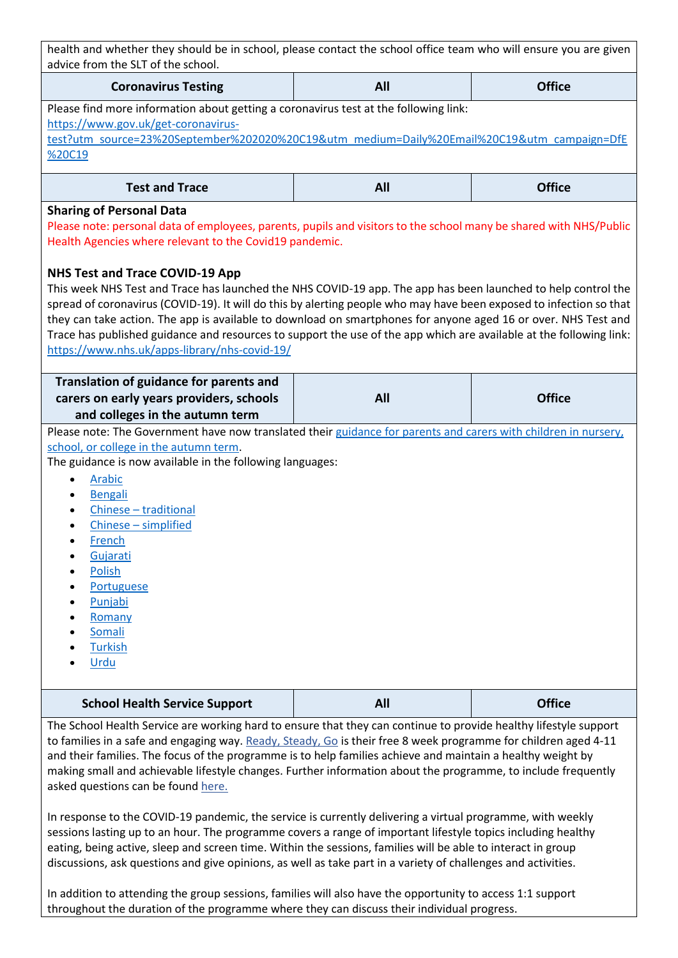| health and whether they should be in school, please contact the school office team who will ensure you are given<br>advice from the SLT of the school.                                                                                                                                                                                                                                                                                                                                                                                                                                                                                                                                                                                                                                       |            |               |  |  |  |  |  |  |  |
|----------------------------------------------------------------------------------------------------------------------------------------------------------------------------------------------------------------------------------------------------------------------------------------------------------------------------------------------------------------------------------------------------------------------------------------------------------------------------------------------------------------------------------------------------------------------------------------------------------------------------------------------------------------------------------------------------------------------------------------------------------------------------------------------|------------|---------------|--|--|--|--|--|--|--|
| <b>Coronavirus Testing</b>                                                                                                                                                                                                                                                                                                                                                                                                                                                                                                                                                                                                                                                                                                                                                                   | All        | <b>Office</b> |  |  |  |  |  |  |  |
| Please find more information about getting a coronavirus test at the following link:<br>https://www.gov.uk/get-coronavirus-<br>test?utm_source=23%20September%202020%20C19&utm_medium=Daily%20Email%20C19&utm_campaign=DfE<br>%20C19                                                                                                                                                                                                                                                                                                                                                                                                                                                                                                                                                         |            |               |  |  |  |  |  |  |  |
| <b>Test and Trace</b>                                                                                                                                                                                                                                                                                                                                                                                                                                                                                                                                                                                                                                                                                                                                                                        | <b>All</b> | <b>Office</b> |  |  |  |  |  |  |  |
| <b>Sharing of Personal Data</b><br>Please note: personal data of employees, parents, pupils and visitors to the school many be shared with NHS/Public<br>Health Agencies where relevant to the Covid19 pandemic.<br><b>NHS Test and Trace COVID-19 App</b><br>This week NHS Test and Trace has launched the NHS COVID-19 app. The app has been launched to help control the<br>spread of coronavirus (COVID-19). It will do this by alerting people who may have been exposed to infection so that<br>they can take action. The app is available to download on smartphones for anyone aged 16 or over. NHS Test and<br>Trace has published guidance and resources to support the use of the app which are available at the following link:<br>https://www.nhs.uk/apps-library/nhs-covid-19/ |            |               |  |  |  |  |  |  |  |
| Translation of guidance for parents and<br><b>Office</b><br>carers on early years providers, schools<br><b>All</b>                                                                                                                                                                                                                                                                                                                                                                                                                                                                                                                                                                                                                                                                           |            |               |  |  |  |  |  |  |  |
| and colleges in the autumn term<br>Please note: The Government have now translated their guidance for parents and carers with children in nursery,<br>school, or college in the autumn term.<br>The guidance is now available in the following languages:<br><b>Arabic</b><br>$\bullet$<br>Bengali<br>Chinese - traditional<br>$\bullet$<br>Chinese - simplified<br>French<br>Gujarati<br>Polish<br>Portuguese<br>Punjabi<br>Romany<br>Somali<br><b>Turkish</b><br>Urdu                                                                                                                                                                                                                                                                                                                      |            |               |  |  |  |  |  |  |  |
| <b>School Health Service Support</b>                                                                                                                                                                                                                                                                                                                                                                                                                                                                                                                                                                                                                                                                                                                                                         | All        | <b>Office</b> |  |  |  |  |  |  |  |
| The School Health Service are working hard to ensure that they can continue to provide healthy lifestyle support<br>to families in a safe and engaging way. Ready, Steady, Go is their free 8 week programme for children aged 4-11                                                                                                                                                                                                                                                                                                                                                                                                                                                                                                                                                          |            |               |  |  |  |  |  |  |  |

to families in a safe and engaging way. [Ready, Steady, Go](https://www.kentcht.nhs.uk/service/school-health-service-east-sussex/ready-steady-go-east-sussex/) is their free 8 week programme for children aged 4-11 and their families. The focus of the programme is to help families achieve and maintain a healthy weight by making small and achievable lifestyle changes. Further information about the programme, to include frequently asked questions can be found [here.](https://www.kentcht.nhs.uk/service/school-health-service-east-sussex/ready-steady-go-east-sussex/)

In response to the COVID-19 pandemic, the service is currently delivering a virtual programme, with weekly sessions lasting up to an hour. The programme covers a range of important lifestyle topics including healthy eating, being active, sleep and screen time. Within the sessions, families will be able to interact in group discussions, ask questions and give opinions, as well as take part in a variety of challenges and activities.

In addition to attending the group sessions, families will also have the opportunity to access 1:1 support throughout the duration of the programme where they can discuss their individual progress.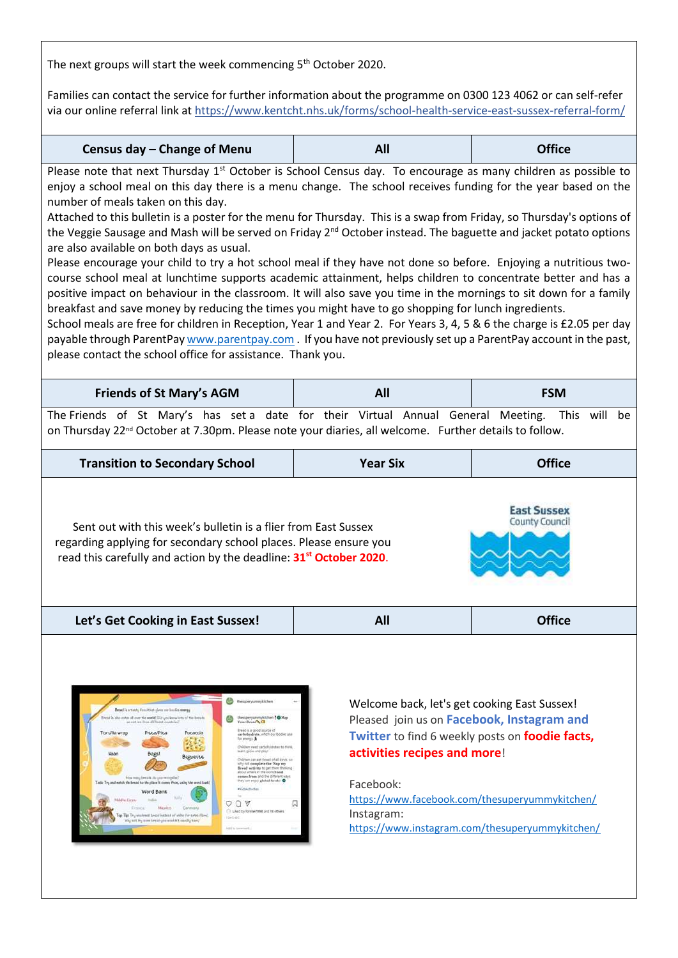The next groups will start the week commencing 5<sup>th</sup> October 2020.

Families can contact the service for further information about the programme on 0300 123 4062 or can self-refer via our online referral link at<https://www.kentcht.nhs.uk/forms/school-health-service-east-sussex-referral-form/>

| Census day - Change of Menu | All | <b>Office</b> |
|-----------------------------|-----|---------------|
|-----------------------------|-----|---------------|

Please note that next Thursday  $1<sup>st</sup>$  October is School Census day. To encourage as many children as possible to enjoy a school meal on this day there is a menu change. The school receives funding for the year based on the number of meals taken on this day.

Attached to this bulletin is a poster for the menu for Thursday. This is a swap from Friday, so Thursday's options of the Veggie Sausage and Mash will be served on Friday 2<sup>nd</sup> October instead. The baguette and jacket potato options are also available on both days as usual.

Please encourage your child to try a hot school meal if they have not done so before. Enjoying a nutritious twocourse school meal at lunchtime supports academic attainment, helps children to concentrate better and has a positive impact on behaviour in the classroom. It will also save you time in the mornings to sit down for a family breakfast and save money by reducing the times you might have to go shopping for lunch ingredients.

School meals are free for children in Reception, Year 1 and Year 2. For Years 3, 4, 5 & 6 the charge is £2.05 per day payable through ParentPay [www.parentpay.com](http://www.parentpay.com/) . If you have not previously set up a ParentPay account in the past, please contact the school office for assistance. Thank you.

| <b>Friends of St Mary's AGM</b>                                                                |  |  |  | All |  |  | <b>FSM</b> |  |  |  |  |  |  |  |
|------------------------------------------------------------------------------------------------|--|--|--|-----|--|--|------------|--|--|--|--|--|--|--|
| The Friends of St Mary's has set a date for their Virtual Annual General Meeting. This will be |  |  |  |     |  |  |            |  |  |  |  |  |  |  |

on Thursday 22<sup>nd</sup> October at 7.30pm. Please note your diaries, all welcome. Further details to follow.

| <b>Office</b><br><b>Transition to Secondary School</b><br><b>Year Six</b> |  |  |  |  |
|---------------------------------------------------------------------------|--|--|--|--|
|---------------------------------------------------------------------------|--|--|--|--|

Sent out with this week's bulletin is a flier from East Sussex regarding applying for secondary school places. Please ensure you read this carefully and action by the deadline: **31st October 2020**.

OOV

**Let's Get Cooking in East Sussex! All Office**

Welcome back, let's get cooking East Sussex! Pleased join us on **Facebook, Instagram and Twitter** to find 6 weekly posts on **foodie facts, activities recipes and more**!

Facebook: [https://www.facebook.com/thesuperyummykitchen/](https://nam03.safelinks.protection.outlook.com/?url=https%3A%2F%2Fwww.facebook.com%2Fthesuperyummykitchen%2F&data=02%7C01%7Cfiona.cooney%40compass-group.co.uk%7C96556596b84040d2be6f08d849d01784%7Ccd62b7dd4b4844bd90e7e143a22c8ead%7C0%7C0%7C637340505719718089&sdata=OgP%2FHK5Q99jj2%2FbTdj4xgPN0jiabUMikdWMMFpovNWg%3D&reserved=0) Instagram: [https://www.instagram.com/thesuperyummykitchen/](https://nam03.safelinks.protection.outlook.com/?url=https%3A%2F%2Fwww.instagram.com%2Fthesuperyummykitchen%2F&data=02%7C01%7Cfiona.cooney%40compass-group.co.uk%7C96556596b84040d2be6f08d849d01784%7Ccd62b7dd4b4844bd90e7e143a22c8ead%7C0%7C0%7C637340505719728084&sdata=dhft3t%2BNxWpx3nM72UYKBDJ3I6vT%2FRIKhHxPW1Yogek%3D&reserved=0)

**East Sussex** County Council